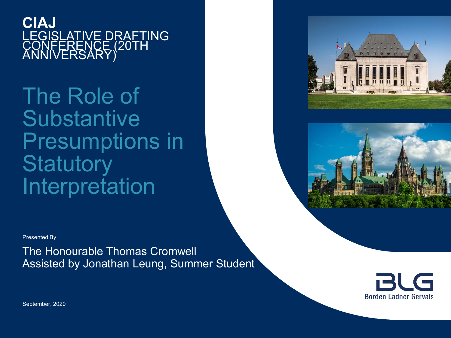**CIAJ** LEGISLATIVE DRAFTING CONFERENCE (20TH ANNIVERSARY)

The Role of **Substantive** Presumptions in **Statutory** Interpretation





Presented By

The Honourable Thomas Cromwell Assisted by Jonathan Leung, Summer Student



September, 2020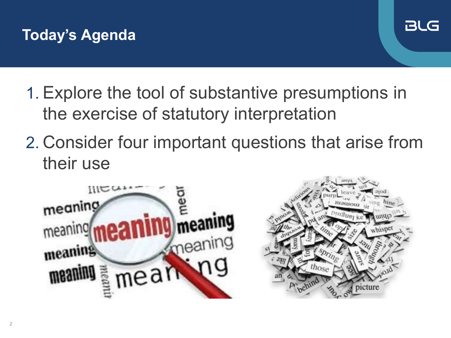



- 1. Explore the tool of substantive presumptions in the exercise of statutory interpretation
- 2. Consider four important questions that arise from their use



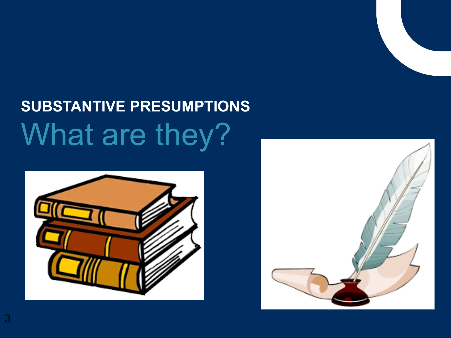# **SUBSTANTIVE PRESUMPTIONS** What are they?



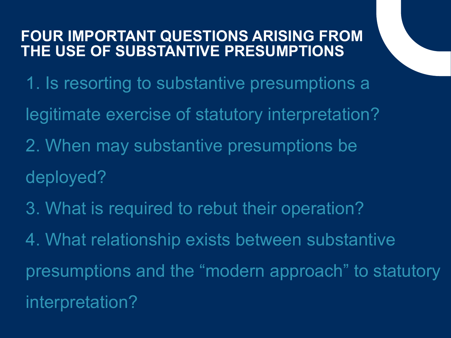#### **FOUR IMPORTANT QUESTIONS ARISING FROM THE USE OF SUBSTANTIVE PRESUMPTIONS**

- 1. Is resorting to substantive presumptions a legitimate exercise of statutory interpretation?
- 2. When may substantive presumptions be deployed?
- 3. What is required to rebut their operation?

4. What relationship exists between substantive presumptions and the "modern approach" to statutory interpretation?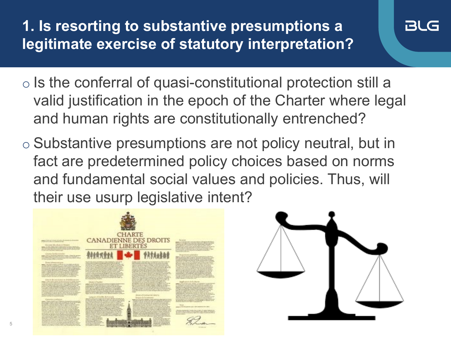**1. Is resorting to substantive presumptions a legitimate exercise of statutory interpretation?**

o Is the conferral of quasi-constitutional protection still a valid justification in the epoch of the Charter where legal and human rights are constitutionally entrenched?

BLG

o Substantive presumptions are not policy neutral, but in fact are predetermined policy choices based on norms and fundamental social values and policies. Thus, will their use usurp legislative intent?

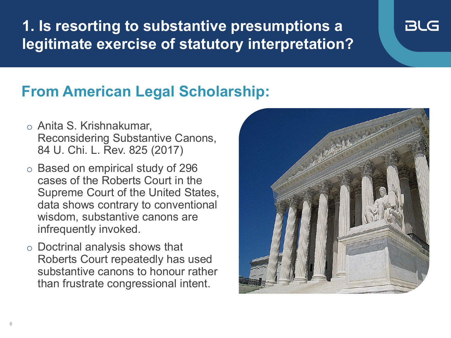**1. Is resorting to substantive presumptions a legitimate exercise of statutory interpretation?**

## **From American Legal Scholarship:**

- o Anita S. Krishnakumar, Reconsidering Substantive Canons, 84 U. Chi. L. Rev. 825 (2017)
- o Based on empirical study of 296 cases of the Roberts Court in the Supreme Court of the United States, data shows contrary to conventional wisdom, substantive canons are infrequently invoked.
- o Doctrinal analysis shows that Roberts Court repeatedly has used substantive canons to honour rather than frustrate congressional intent.



**BLG**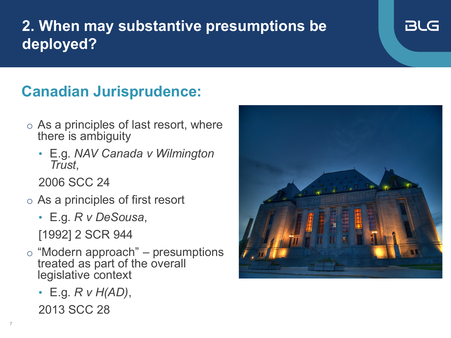## **2. When may substantive presumptions be deployed?**

## **Canadian Jurisprudence:**

- $\circ$  As a principles of last resort, where there is ambiguity
	- E.g. *NAV Canada v Wilmington Trust*,

2006 SCC 24

- o As a principles of first resort
	- E.g. *R v DeSousa*, [1992] 2 SCR 944
- $\circ$  "Modern approach" presumptions treated as part of the overall legislative context
	- E.g. *R v H(AD)*, 2013 SCC 28



BLG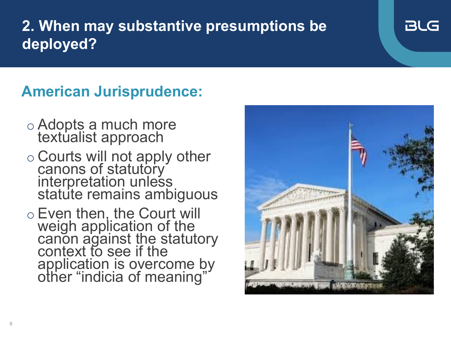## **2. When may substantive presumptions be deployed?**

#### **American Jurisprudence:**

- o Adopts a much more textualist approach
- o Courts will not apply other canons of statutory interpretation unless statute remains ambiguous
- o Even then, the Court will weigh application of the canon against the statutory context to see if the application is overcome by other "indicia of meaning"



BLG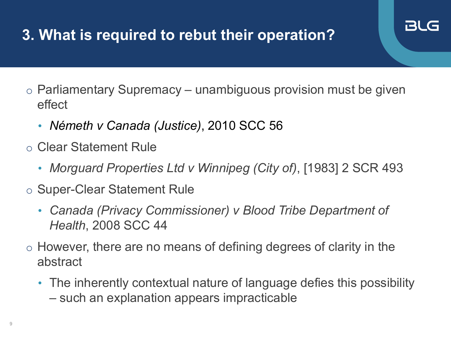## **3. What is required to rebut their operation?**

- $\circ$  Parliamentary Supremacy unambiguous provision must be given effect
	- *Németh v Canada (Justice)*, 2010 SCC 56
- o Clear Statement Rule
	- *Morguard Properties Ltd v Winnipeg (City of)*, [1983] 2 SCR 493
- o Super-Clear Statement Rule
	- *Canada (Privacy Commissioner) v Blood Tribe Department of Health*, 2008 SCC 44
- o However, there are no means of defining degrees of clarity in the abstract
	- The inherently contextual nature of language defies this possibility – such an explanation appears impracticable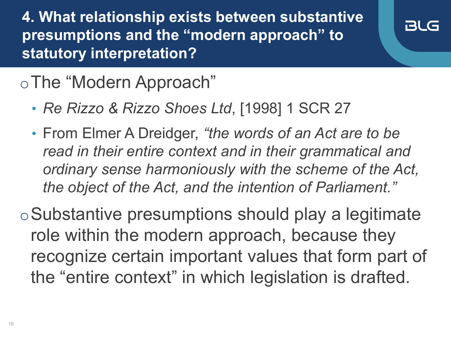**4. What relationship exists between substantive presumptions and the "modern approach" to statutory interpretation?**



## oThe "Modern Approach"

- *Re Rizzo & Rizzo Shoes Ltd*, [1998] 1 SCR 27
- From Elmer A Dreidger, *"the words of an Act are to be read in their entire context and in their grammatical and ordinary sense harmoniously with the scheme of the Act, the object of the Act, and the intention of Parliament."*

oSubstantive presumptions should play a legitimate role within the modern approach, because they recognize certain important values that form part of the "entire context" in which legislation is drafted.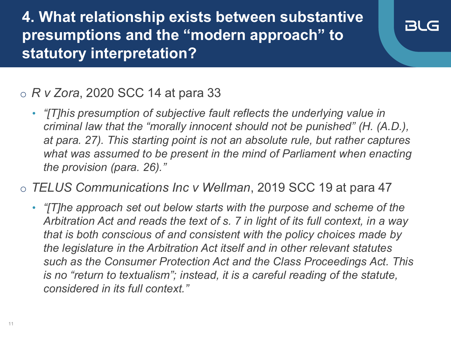**4. What relationship exists between substantive presumptions and the "modern approach" to statutory interpretation?**

#### BLG

#### o *R v Zora*, 2020 SCC 14 at para 33

- *"[T]his presumption of subjective fault reflects the underlying value in criminal law that the "morally innocent should not be punished" (H. (A.D.), at para. 27). This starting point is not an absolute rule, but rather captures what was assumed to be present in the mind of Parliament when enacting the provision (para. 26)."*
- o *TELUS Communications Inc v Wellman*, 2019 SCC 19 at para 47
	- *"[T]he approach set out below starts with the purpose and scheme of the Arbitration Act and reads the text of s. 7 in light of its full context, in a way that is both conscious of and consistent with the policy choices made by the legislature in the Arbitration Act itself and in other relevant statutes such as the Consumer Protection Act and the Class Proceedings Act. This is no "return to textualism"; instead, it is a careful reading of the statute, considered in its full context."*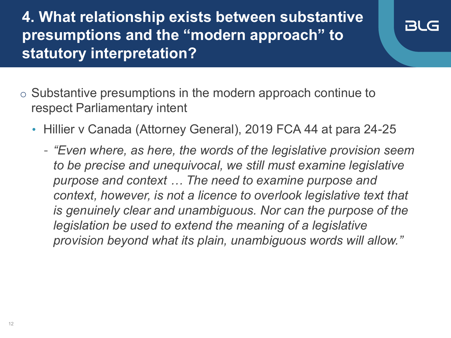**4. What relationship exists between substantive presumptions and the "modern approach" to statutory interpretation?**

- o Substantive presumptions in the modern approach continue to respect Parliamentary intent
	- Hillier v Canada (Attorney General), 2019 FCA 44 at para 24-25
		- *"Even where, as here, the words of the legislative provision seem to be precise and unequivocal, we still must examine legislative purpose and context … The need to examine purpose and context, however, is not a licence to overlook legislative text that is genuinely clear and unambiguous. Nor can the purpose of the legislation be used to extend the meaning of a legislative provision beyond what its plain, unambiguous words will allow."*